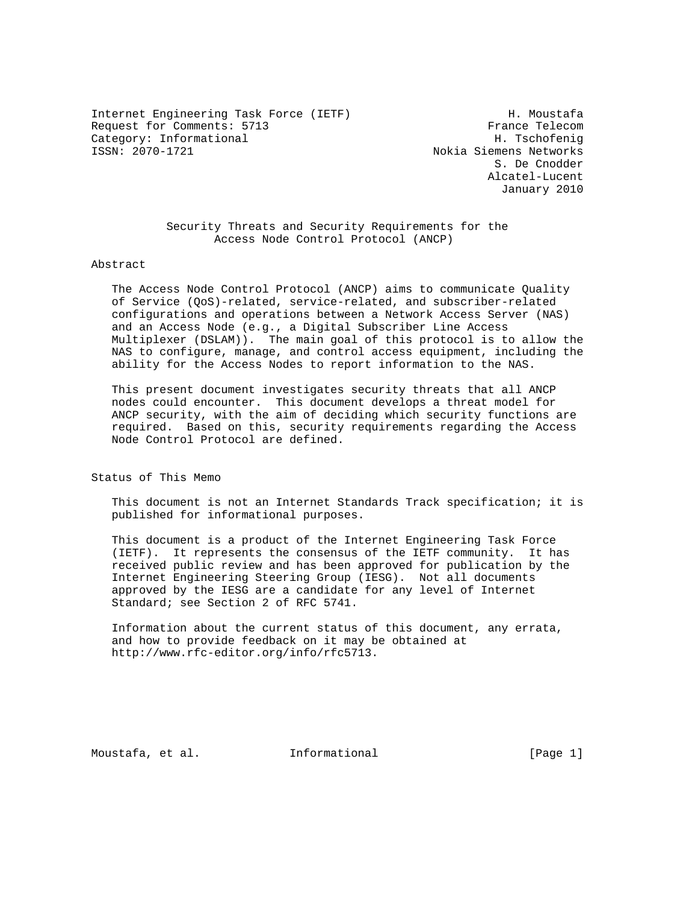Internet Engineering Task Force (IETF) The Moustafa Request for Comments: 5713 France Telecom Category: Informational H. Tschofenig

Nokia Siemens Networks S. De Cnodder Alcatel-Lucent January 2010

 Security Threats and Security Requirements for the Access Node Control Protocol (ANCP)

#### Abstract

 The Access Node Control Protocol (ANCP) aims to communicate Quality of Service (QoS)-related, service-related, and subscriber-related configurations and operations between a Network Access Server (NAS) and an Access Node (e.g., a Digital Subscriber Line Access Multiplexer (DSLAM)). The main goal of this protocol is to allow the NAS to configure, manage, and control access equipment, including the ability for the Access Nodes to report information to the NAS.

 This present document investigates security threats that all ANCP nodes could encounter. This document develops a threat model for ANCP security, with the aim of deciding which security functions are required. Based on this, security requirements regarding the Access Node Control Protocol are defined.

Status of This Memo

 This document is not an Internet Standards Track specification; it is published for informational purposes.

 This document is a product of the Internet Engineering Task Force (IETF). It represents the consensus of the IETF community. It has received public review and has been approved for publication by the Internet Engineering Steering Group (IESG). Not all documents approved by the IESG are a candidate for any level of Internet Standard; see Section 2 of RFC 5741.

 Information about the current status of this document, any errata, and how to provide feedback on it may be obtained at http://www.rfc-editor.org/info/rfc5713.

Moustafa, et al. 1nformational 1999 [Page 1]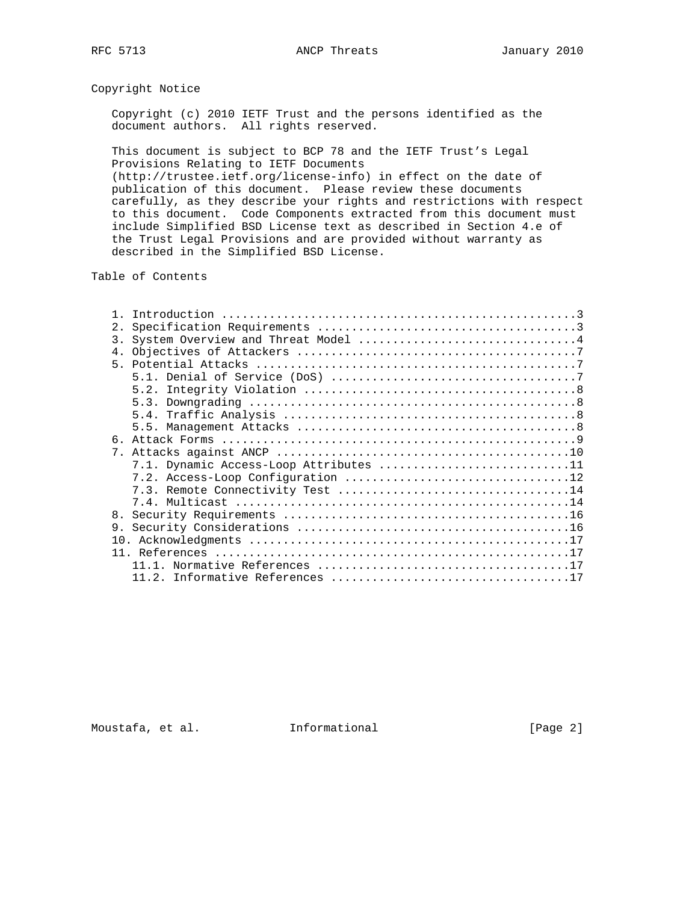Copyright Notice

 Copyright (c) 2010 IETF Trust and the persons identified as the document authors. All rights reserved.

 This document is subject to BCP 78 and the IETF Trust's Legal Provisions Relating to IETF Documents (http://trustee.ietf.org/license-info) in effect on the date of publication of this document. Please review these documents carefully, as they describe your rights and restrictions with respect to this document. Code Components extracted from this document must include Simplified BSD License text as described in Section 4.e of the Trust Legal Provisions and are provided without warranty as described in the Simplified BSD License.

Table of Contents

| 2.             |                                        |
|----------------|----------------------------------------|
| 3.             | System Overview and Threat Model 4     |
|                |                                        |
|                |                                        |
|                |                                        |
|                |                                        |
|                |                                        |
|                |                                        |
|                |                                        |
|                |                                        |
|                |                                        |
|                | 7.1. Dynamic Access-Loop Attributes 11 |
|                |                                        |
|                |                                        |
|                |                                        |
|                |                                        |
| 9 <sub>1</sub> |                                        |
|                |                                        |
|                |                                        |
|                |                                        |
|                |                                        |
|                |                                        |

Moustafa, et al. 1nformational 1999 [Page 2]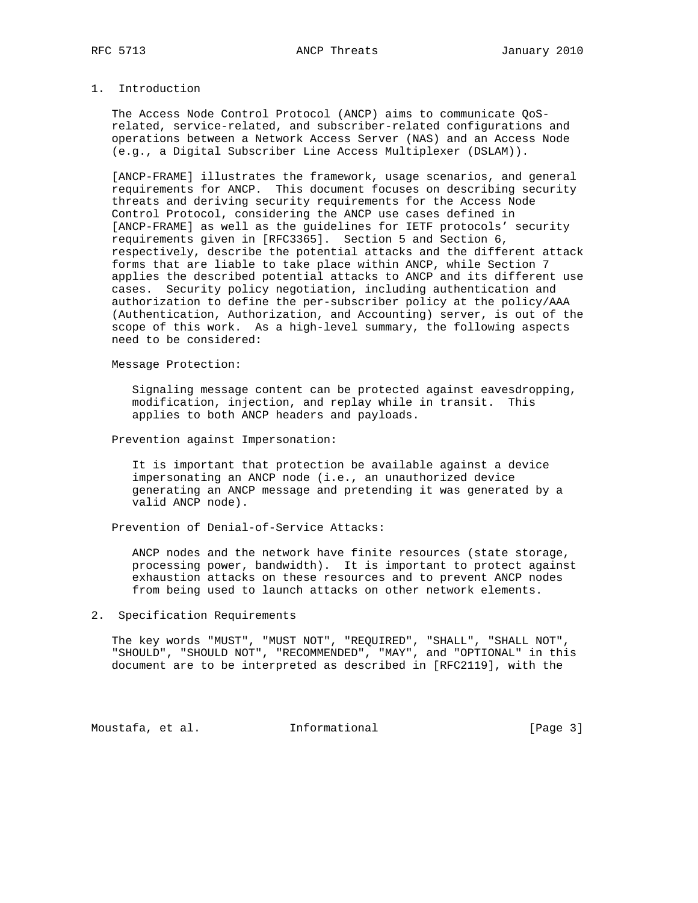# 1. Introduction

 The Access Node Control Protocol (ANCP) aims to communicate QoS related, service-related, and subscriber-related configurations and operations between a Network Access Server (NAS) and an Access Node (e.g., a Digital Subscriber Line Access Multiplexer (DSLAM)).

 [ANCP-FRAME] illustrates the framework, usage scenarios, and general requirements for ANCP. This document focuses on describing security threats and deriving security requirements for the Access Node Control Protocol, considering the ANCP use cases defined in [ANCP-FRAME] as well as the guidelines for IETF protocols' security requirements given in [RFC3365]. Section 5 and Section 6, respectively, describe the potential attacks and the different attack forms that are liable to take place within ANCP, while Section 7 applies the described potential attacks to ANCP and its different use cases. Security policy negotiation, including authentication and authorization to define the per-subscriber policy at the policy/AAA (Authentication, Authorization, and Accounting) server, is out of the scope of this work. As a high-level summary, the following aspects need to be considered:

Message Protection:

 Signaling message content can be protected against eavesdropping, modification, injection, and replay while in transit. This applies to both ANCP headers and payloads.

Prevention against Impersonation:

 It is important that protection be available against a device impersonating an ANCP node (i.e., an unauthorized device generating an ANCP message and pretending it was generated by a valid ANCP node).

Prevention of Denial-of-Service Attacks:

 ANCP nodes and the network have finite resources (state storage, processing power, bandwidth). It is important to protect against exhaustion attacks on these resources and to prevent ANCP nodes from being used to launch attacks on other network elements.

#### 2. Specification Requirements

 The key words "MUST", "MUST NOT", "REQUIRED", "SHALL", "SHALL NOT", "SHOULD", "SHOULD NOT", "RECOMMENDED", "MAY", and "OPTIONAL" in this document are to be interpreted as described in [RFC2119], with the

Moustafa, et al. 1nformational 1999 [Page 3]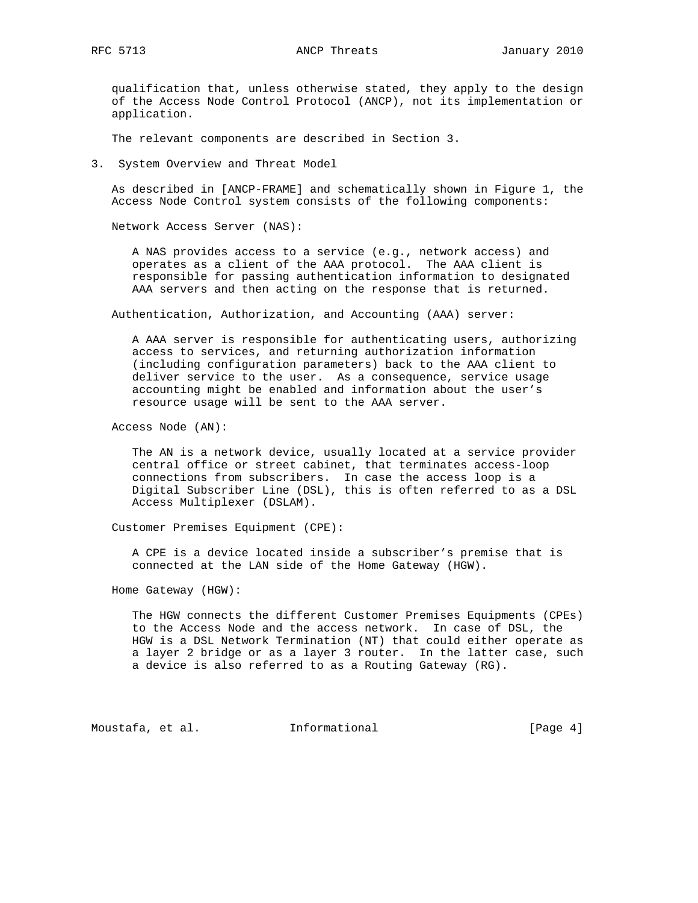qualification that, unless otherwise stated, they apply to the design of the Access Node Control Protocol (ANCP), not its implementation or application.

The relevant components are described in Section 3.

3. System Overview and Threat Model

 As described in [ANCP-FRAME] and schematically shown in Figure 1, the Access Node Control system consists of the following components:

Network Access Server (NAS):

 A NAS provides access to a service (e.g., network access) and operates as a client of the AAA protocol. The AAA client is responsible for passing authentication information to designated AAA servers and then acting on the response that is returned.

Authentication, Authorization, and Accounting (AAA) server:

 A AAA server is responsible for authenticating users, authorizing access to services, and returning authorization information (including configuration parameters) back to the AAA client to deliver service to the user. As a consequence, service usage accounting might be enabled and information about the user's resource usage will be sent to the AAA server.

Access Node (AN):

 The AN is a network device, usually located at a service provider central office or street cabinet, that terminates access-loop connections from subscribers. In case the access loop is a Digital Subscriber Line (DSL), this is often referred to as a DSL Access Multiplexer (DSLAM).

Customer Premises Equipment (CPE):

 A CPE is a device located inside a subscriber's premise that is connected at the LAN side of the Home Gateway (HGW).

Home Gateway (HGW):

 The HGW connects the different Customer Premises Equipments (CPEs) to the Access Node and the access network. In case of DSL, the HGW is a DSL Network Termination (NT) that could either operate as a layer 2 bridge or as a layer 3 router. In the latter case, such a device is also referred to as a Routing Gateway (RG).

Moustafa, et al. 1nformational 1999 [Page 4]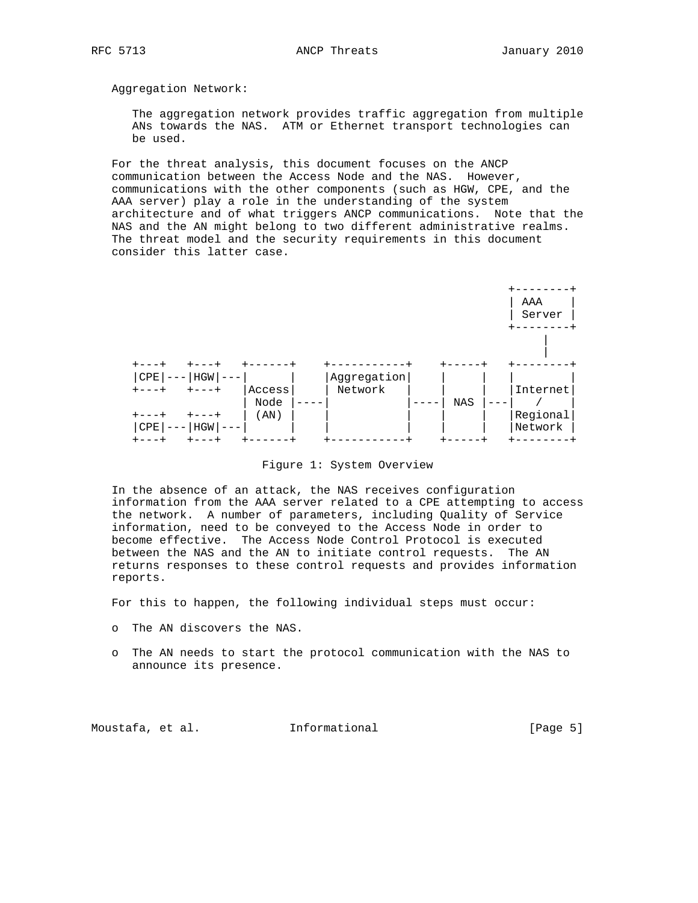Aggregation Network:

 The aggregation network provides traffic aggregation from multiple ANs towards the NAS. ATM or Ethernet transport technologies can be used.

 For the threat analysis, this document focuses on the ANCP communication between the Access Node and the NAS. However, communications with the other components (such as HGW, CPE, and the AAA server) play a role in the understanding of the system architecture and of what triggers ANCP communications. Note that the NAS and the AN might belong to two different administrative realms. The threat model and the security requirements in this document consider this latter case.



Figure 1: System Overview

 In the absence of an attack, the NAS receives configuration information from the AAA server related to a CPE attempting to access the network. A number of parameters, including Quality of Service information, need to be conveyed to the Access Node in order to become effective. The Access Node Control Protocol is executed between the NAS and the AN to initiate control requests. The AN returns responses to these control requests and provides information reports.

For this to happen, the following individual steps must occur:

- o The AN discovers the NAS.
- o The AN needs to start the protocol communication with the NAS to announce its presence.

Moustafa, et al. 1nformational 1999 [Page 5]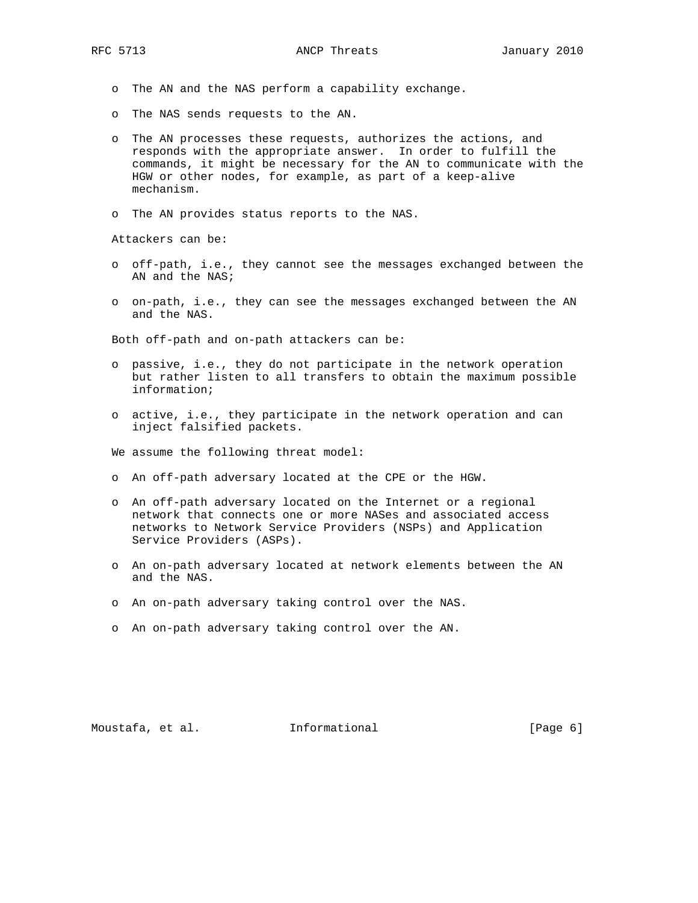- o The AN and the NAS perform a capability exchange.
- o The NAS sends requests to the AN.
- o The AN processes these requests, authorizes the actions, and responds with the appropriate answer. In order to fulfill the commands, it might be necessary for the AN to communicate with the HGW or other nodes, for example, as part of a keep-alive mechanism.
- o The AN provides status reports to the NAS.

Attackers can be:

- o off-path, i.e., they cannot see the messages exchanged between the AN and the NAS;
- o on-path, i.e., they can see the messages exchanged between the AN and the NAS.

Both off-path and on-path attackers can be:

- o passive, i.e., they do not participate in the network operation but rather listen to all transfers to obtain the maximum possible information;
- o active, i.e., they participate in the network operation and can inject falsified packets.

We assume the following threat model:

- o An off-path adversary located at the CPE or the HGW.
- o An off-path adversary located on the Internet or a regional network that connects one or more NASes and associated access networks to Network Service Providers (NSPs) and Application Service Providers (ASPs).
- o An on-path adversary located at network elements between the AN and the NAS.
- o An on-path adversary taking control over the NAS.
- o An on-path adversary taking control over the AN.

Moustafa, et al. 1nformational 1999 [Page 6]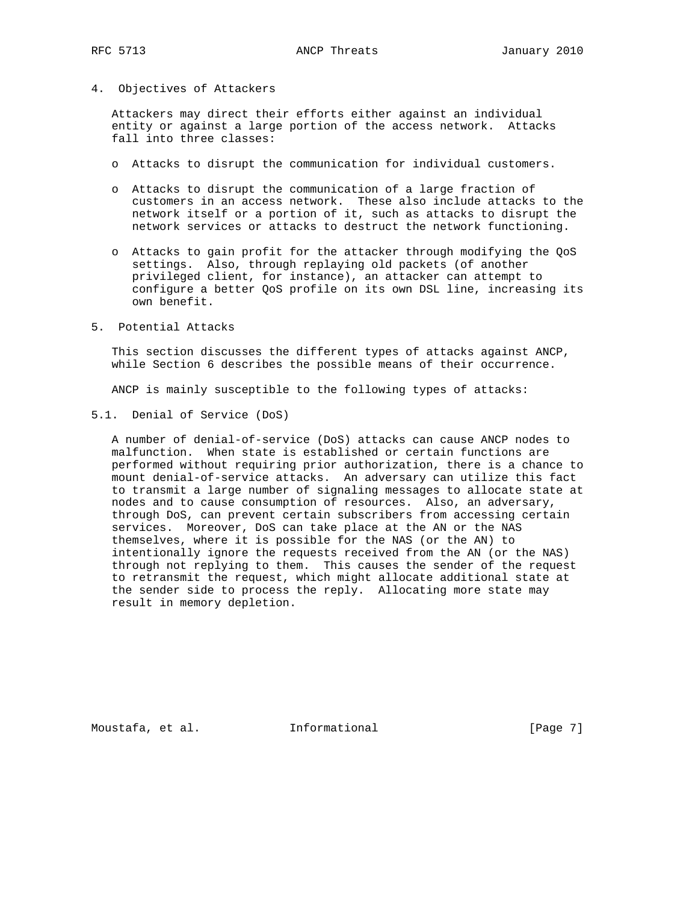4. Objectives of Attackers

 Attackers may direct their efforts either against an individual entity or against a large portion of the access network. Attacks fall into three classes:

- o Attacks to disrupt the communication for individual customers.
- o Attacks to disrupt the communication of a large fraction of customers in an access network. These also include attacks to the network itself or a portion of it, such as attacks to disrupt the network services or attacks to destruct the network functioning.
- o Attacks to gain profit for the attacker through modifying the QoS settings. Also, through replaying old packets (of another privileged client, for instance), an attacker can attempt to configure a better QoS profile on its own DSL line, increasing its own benefit.
- 5. Potential Attacks

 This section discusses the different types of attacks against ANCP, while Section 6 describes the possible means of their occurrence.

ANCP is mainly susceptible to the following types of attacks:

5.1. Denial of Service (DoS)

 A number of denial-of-service (DoS) attacks can cause ANCP nodes to malfunction. When state is established or certain functions are performed without requiring prior authorization, there is a chance to mount denial-of-service attacks. An adversary can utilize this fact to transmit a large number of signaling messages to allocate state at nodes and to cause consumption of resources. Also, an adversary, through DoS, can prevent certain subscribers from accessing certain services. Moreover, DoS can take place at the AN or the NAS themselves, where it is possible for the NAS (or the AN) to intentionally ignore the requests received from the AN (or the NAS) through not replying to them. This causes the sender of the request to retransmit the request, which might allocate additional state at the sender side to process the reply. Allocating more state may result in memory depletion.

Moustafa, et al. 1nformational 1999 [Page 7]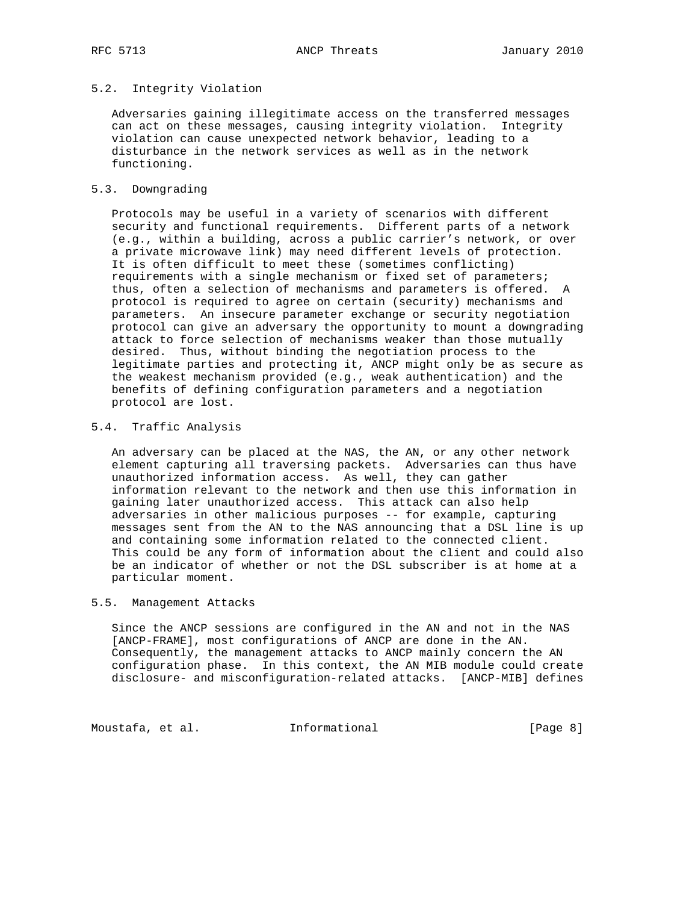# 5.2. Integrity Violation

 Adversaries gaining illegitimate access on the transferred messages can act on these messages, causing integrity violation. Integrity violation can cause unexpected network behavior, leading to a disturbance in the network services as well as in the network functioning.

#### 5.3. Downgrading

 Protocols may be useful in a variety of scenarios with different security and functional requirements. Different parts of a network (e.g., within a building, across a public carrier's network, or over a private microwave link) may need different levels of protection. It is often difficult to meet these (sometimes conflicting) requirements with a single mechanism or fixed set of parameters; thus, often a selection of mechanisms and parameters is offered. A protocol is required to agree on certain (security) mechanisms and parameters. An insecure parameter exchange or security negotiation protocol can give an adversary the opportunity to mount a downgrading attack to force selection of mechanisms weaker than those mutually desired. Thus, without binding the negotiation process to the legitimate parties and protecting it, ANCP might only be as secure as the weakest mechanism provided (e.g., weak authentication) and the benefits of defining configuration parameters and a negotiation protocol are lost.

## 5.4. Traffic Analysis

 An adversary can be placed at the NAS, the AN, or any other network element capturing all traversing packets. Adversaries can thus have unauthorized information access. As well, they can gather information relevant to the network and then use this information in gaining later unauthorized access. This attack can also help adversaries in other malicious purposes -- for example, capturing messages sent from the AN to the NAS announcing that a DSL line is up and containing some information related to the connected client. This could be any form of information about the client and could also be an indicator of whether or not the DSL subscriber is at home at a particular moment.

### 5.5. Management Attacks

 Since the ANCP sessions are configured in the AN and not in the NAS [ANCP-FRAME], most configurations of ANCP are done in the AN. Consequently, the management attacks to ANCP mainly concern the AN configuration phase. In this context, the AN MIB module could create disclosure- and misconfiguration-related attacks. [ANCP-MIB] defines

Moustafa, et al. 1nformational 1999 [Page 8]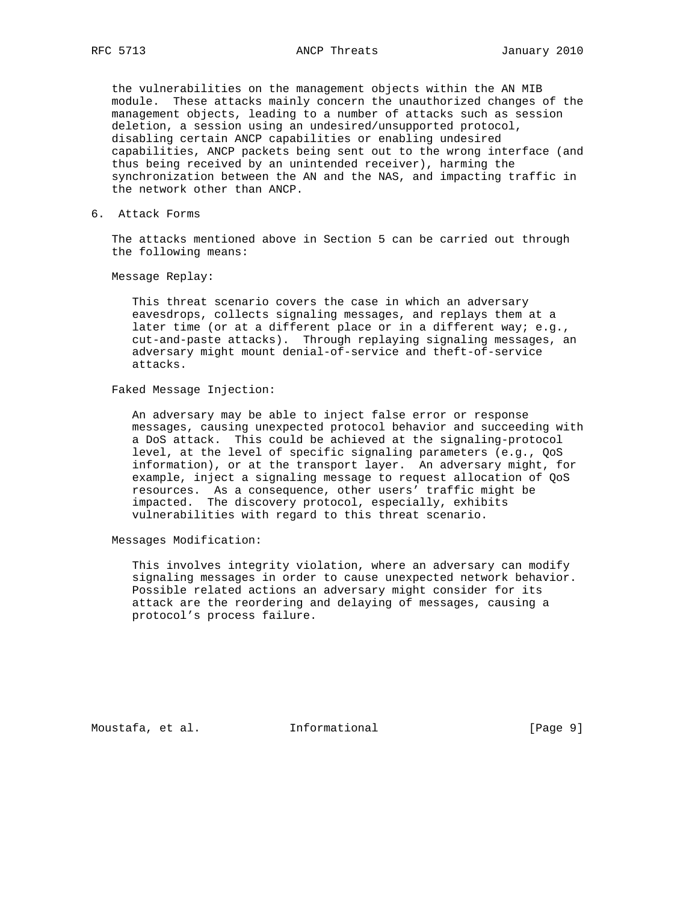the vulnerabilities on the management objects within the AN MIB module. These attacks mainly concern the unauthorized changes of the management objects, leading to a number of attacks such as session deletion, a session using an undesired/unsupported protocol, disabling certain ANCP capabilities or enabling undesired capabilities, ANCP packets being sent out to the wrong interface (and thus being received by an unintended receiver), harming the synchronization between the AN and the NAS, and impacting traffic in the network other than ANCP.

6. Attack Forms

 The attacks mentioned above in Section 5 can be carried out through the following means:

Message Replay:

 This threat scenario covers the case in which an adversary eavesdrops, collects signaling messages, and replays them at a later time (or at a different place or in a different way; e.g., cut-and-paste attacks). Through replaying signaling messages, an adversary might mount denial-of-service and theft-of-service attacks.

### Faked Message Injection:

 An adversary may be able to inject false error or response messages, causing unexpected protocol behavior and succeeding with a DoS attack. This could be achieved at the signaling-protocol level, at the level of specific signaling parameters (e.g., QoS information), or at the transport layer. An adversary might, for example, inject a signaling message to request allocation of QoS resources. As a consequence, other users' traffic might be impacted. The discovery protocol, especially, exhibits vulnerabilities with regard to this threat scenario.

Messages Modification:

 This involves integrity violation, where an adversary can modify signaling messages in order to cause unexpected network behavior. Possible related actions an adversary might consider for its attack are the reordering and delaying of messages, causing a protocol's process failure.

Moustafa, et al. 1nformational 1999 [Page 9]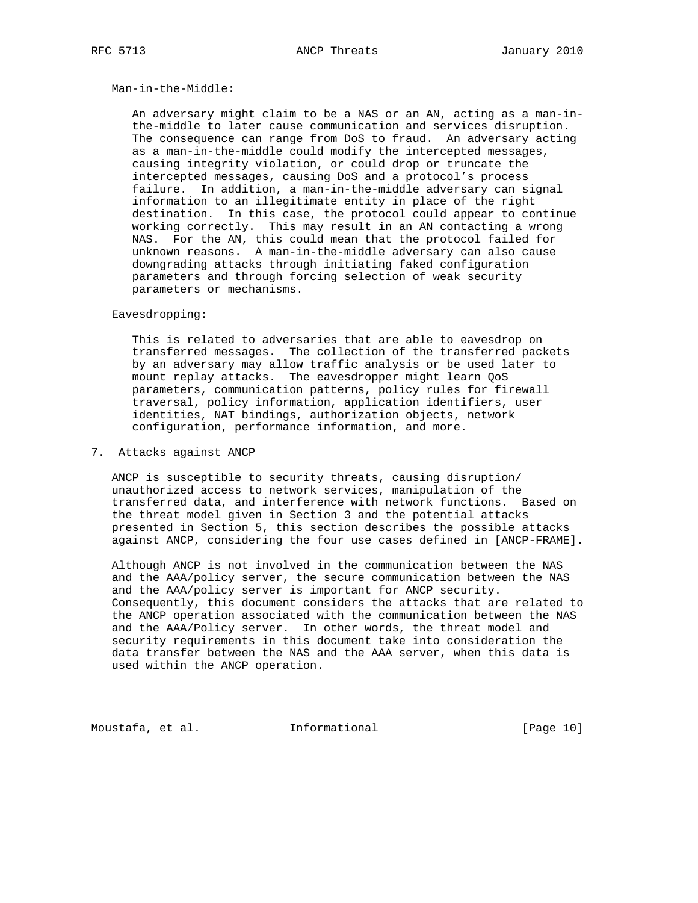#### Man-in-the-Middle:

 An adversary might claim to be a NAS or an AN, acting as a man-in the-middle to later cause communication and services disruption. The consequence can range from DoS to fraud. An adversary acting as a man-in-the-middle could modify the intercepted messages, causing integrity violation, or could drop or truncate the intercepted messages, causing DoS and a protocol's process failure. In addition, a man-in-the-middle adversary can signal information to an illegitimate entity in place of the right destination. In this case, the protocol could appear to continue working correctly. This may result in an AN contacting a wrong NAS. For the AN, this could mean that the protocol failed for unknown reasons. A man-in-the-middle adversary can also cause downgrading attacks through initiating faked configuration parameters and through forcing selection of weak security parameters or mechanisms.

#### Eavesdropping:

 This is related to adversaries that are able to eavesdrop on transferred messages. The collection of the transferred packets by an adversary may allow traffic analysis or be used later to mount replay attacks. The eavesdropper might learn QoS parameters, communication patterns, policy rules for firewall traversal, policy information, application identifiers, user identities, NAT bindings, authorization objects, network configuration, performance information, and more.

### 7. Attacks against ANCP

 ANCP is susceptible to security threats, causing disruption/ unauthorized access to network services, manipulation of the transferred data, and interference with network functions. Based on the threat model given in Section 3 and the potential attacks presented in Section 5, this section describes the possible attacks against ANCP, considering the four use cases defined in [ANCP-FRAME].

 Although ANCP is not involved in the communication between the NAS and the AAA/policy server, the secure communication between the NAS and the AAA/policy server is important for ANCP security. Consequently, this document considers the attacks that are related to the ANCP operation associated with the communication between the NAS and the AAA/Policy server. In other words, the threat model and security requirements in this document take into consideration the data transfer between the NAS and the AAA server, when this data is used within the ANCP operation.

Moustafa, et al. 1nformational 1999 [Page 10]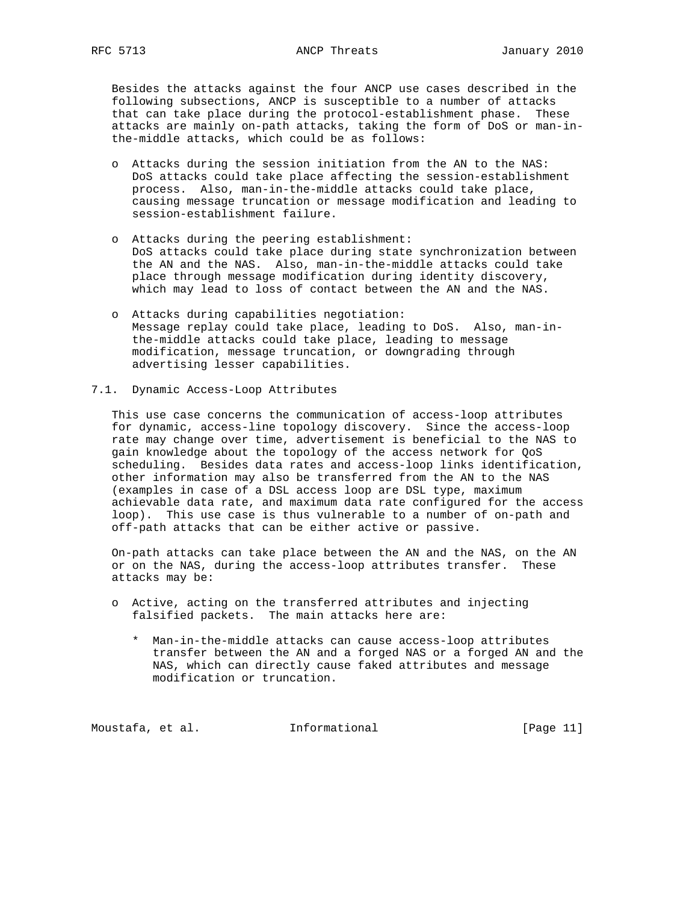Besides the attacks against the four ANCP use cases described in the following subsections, ANCP is susceptible to a number of attacks that can take place during the protocol-establishment phase. These attacks are mainly on-path attacks, taking the form of DoS or man-in the-middle attacks, which could be as follows:

- o Attacks during the session initiation from the AN to the NAS: DoS attacks could take place affecting the session-establishment process. Also, man-in-the-middle attacks could take place, causing message truncation or message modification and leading to session-establishment failure.
- o Attacks during the peering establishment: DoS attacks could take place during state synchronization between the AN and the NAS. Also, man-in-the-middle attacks could take place through message modification during identity discovery, which may lead to loss of contact between the AN and the NAS.
- o Attacks during capabilities negotiation: Message replay could take place, leading to DoS. Also, man-in the-middle attacks could take place, leading to message modification, message truncation, or downgrading through advertising lesser capabilities.
- 7.1. Dynamic Access-Loop Attributes

 This use case concerns the communication of access-loop attributes for dynamic, access-line topology discovery. Since the access-loop rate may change over time, advertisement is beneficial to the NAS to gain knowledge about the topology of the access network for QoS scheduling. Besides data rates and access-loop links identification, other information may also be transferred from the AN to the NAS (examples in case of a DSL access loop are DSL type, maximum achievable data rate, and maximum data rate configured for the access loop). This use case is thus vulnerable to a number of on-path and off-path attacks that can be either active or passive.

 On-path attacks can take place between the AN and the NAS, on the AN or on the NAS, during the access-loop attributes transfer. These attacks may be:

- o Active, acting on the transferred attributes and injecting falsified packets. The main attacks here are:
	- \* Man-in-the-middle attacks can cause access-loop attributes transfer between the AN and a forged NAS or a forged AN and the NAS, which can directly cause faked attributes and message modification or truncation.

Moustafa, et al. 1nformational 1999 [Page 11]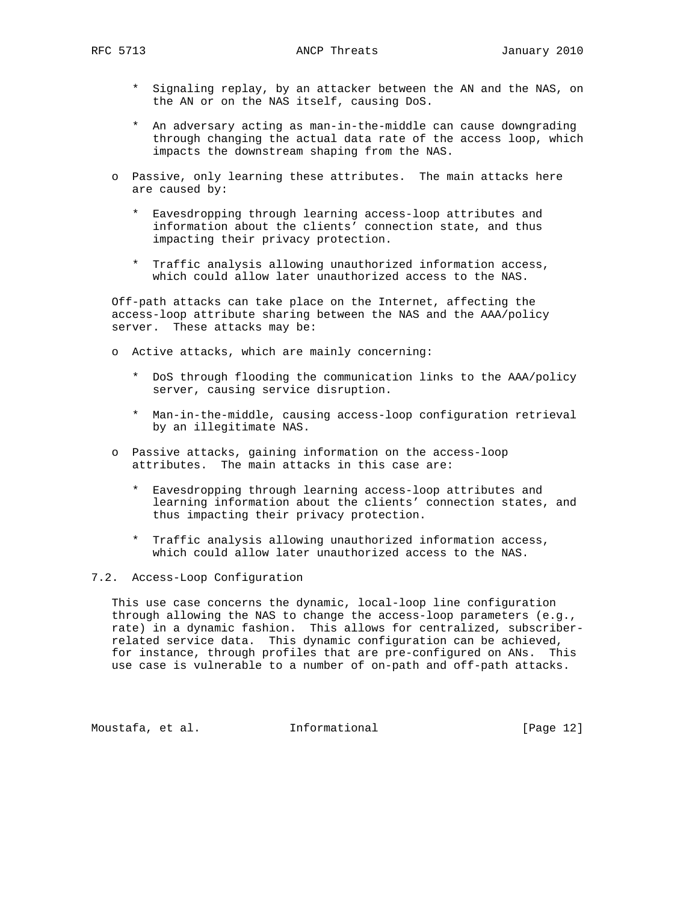- \* Signaling replay, by an attacker between the AN and the NAS, on the AN or on the NAS itself, causing DoS.
- \* An adversary acting as man-in-the-middle can cause downgrading through changing the actual data rate of the access loop, which impacts the downstream shaping from the NAS.
- o Passive, only learning these attributes. The main attacks here are caused by:
	- \* Eavesdropping through learning access-loop attributes and information about the clients' connection state, and thus impacting their privacy protection.
	- \* Traffic analysis allowing unauthorized information access, which could allow later unauthorized access to the NAS.

 Off-path attacks can take place on the Internet, affecting the access-loop attribute sharing between the NAS and the AAA/policy server. These attacks may be:

- o Active attacks, which are mainly concerning:
	- \* DoS through flooding the communication links to the AAA/policy server, causing service disruption.
	- \* Man-in-the-middle, causing access-loop configuration retrieval by an illegitimate NAS.
- o Passive attacks, gaining information on the access-loop attributes. The main attacks in this case are:
	- \* Eavesdropping through learning access-loop attributes and learning information about the clients' connection states, and thus impacting their privacy protection.
	- \* Traffic analysis allowing unauthorized information access, which could allow later unauthorized access to the NAS.

### 7.2. Access-Loop Configuration

 This use case concerns the dynamic, local-loop line configuration through allowing the NAS to change the access-loop parameters (e.g., rate) in a dynamic fashion. This allows for centralized, subscriber related service data. This dynamic configuration can be achieved, for instance, through profiles that are pre-configured on ANs. This use case is vulnerable to a number of on-path and off-path attacks.

Moustafa, et al. **Informational** [Page 12]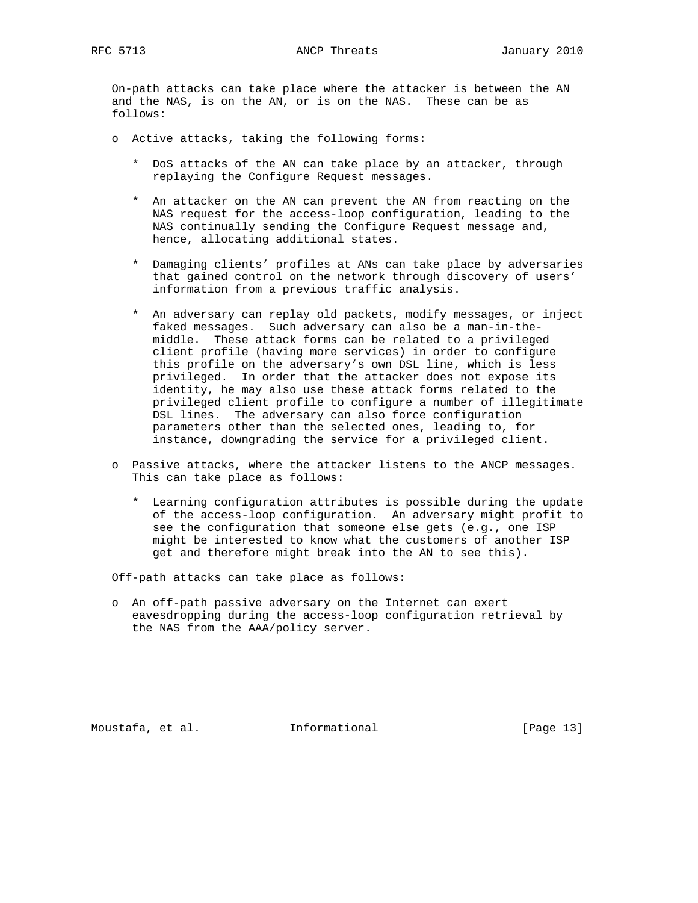On-path attacks can take place where the attacker is between the AN and the NAS, is on the AN, or is on the NAS. These can be as follows:

- o Active attacks, taking the following forms:
	- \* DoS attacks of the AN can take place by an attacker, through replaying the Configure Request messages.
	- \* An attacker on the AN can prevent the AN from reacting on the NAS request for the access-loop configuration, leading to the NAS continually sending the Configure Request message and, hence, allocating additional states.
	- \* Damaging clients' profiles at ANs can take place by adversaries that gained control on the network through discovery of users' information from a previous traffic analysis.
	- \* An adversary can replay old packets, modify messages, or inject faked messages. Such adversary can also be a man-in-the middle. These attack forms can be related to a privileged client profile (having more services) in order to configure this profile on the adversary's own DSL line, which is less privileged. In order that the attacker does not expose its identity, he may also use these attack forms related to the privileged client profile to configure a number of illegitimate DSL lines. The adversary can also force configuration parameters other than the selected ones, leading to, for instance, downgrading the service for a privileged client.
- o Passive attacks, where the attacker listens to the ANCP messages. This can take place as follows:
	- \* Learning configuration attributes is possible during the update of the access-loop configuration. An adversary might profit to see the configuration that someone else gets (e.g., one ISP might be interested to know what the customers of another ISP get and therefore might break into the AN to see this).

Off-path attacks can take place as follows:

 o An off-path passive adversary on the Internet can exert eavesdropping during the access-loop configuration retrieval by the NAS from the AAA/policy server.

Moustafa, et al. **Informational** [Page 13]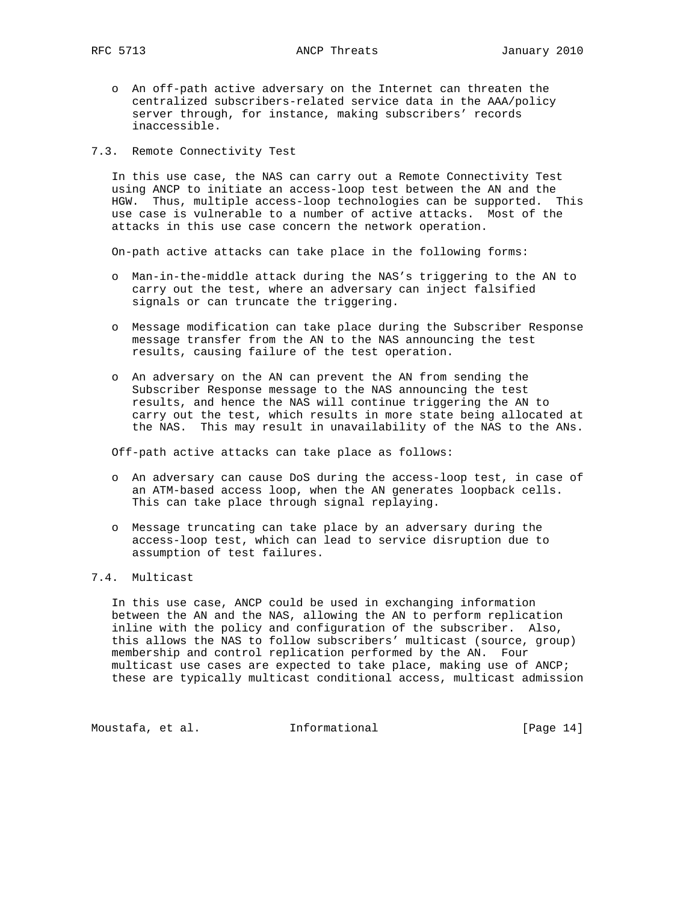- o An off-path active adversary on the Internet can threaten the centralized subscribers-related service data in the AAA/policy server through, for instance, making subscribers' records inaccessible.
- 7.3. Remote Connectivity Test

 In this use case, the NAS can carry out a Remote Connectivity Test using ANCP to initiate an access-loop test between the AN and the HGW. Thus, multiple access-loop technologies can be supported. This use case is vulnerable to a number of active attacks. Most of the attacks in this use case concern the network operation.

On-path active attacks can take place in the following forms:

- o Man-in-the-middle attack during the NAS's triggering to the AN to carry out the test, where an adversary can inject falsified signals or can truncate the triggering.
- o Message modification can take place during the Subscriber Response message transfer from the AN to the NAS announcing the test results, causing failure of the test operation.
- o An adversary on the AN can prevent the AN from sending the Subscriber Response message to the NAS announcing the test results, and hence the NAS will continue triggering the AN to carry out the test, which results in more state being allocated at the NAS. This may result in unavailability of the NAS to the ANs.

Off-path active attacks can take place as follows:

- o An adversary can cause DoS during the access-loop test, in case of an ATM-based access loop, when the AN generates loopback cells. This can take place through signal replaying.
- o Message truncating can take place by an adversary during the access-loop test, which can lead to service disruption due to assumption of test failures.

# 7.4. Multicast

 In this use case, ANCP could be used in exchanging information between the AN and the NAS, allowing the AN to perform replication inline with the policy and configuration of the subscriber. Also, this allows the NAS to follow subscribers' multicast (source, group) membership and control replication performed by the AN. Four multicast use cases are expected to take place, making use of ANCP; these are typically multicast conditional access, multicast admission

Moustafa, et al. 1nformational 1999 [Page 14]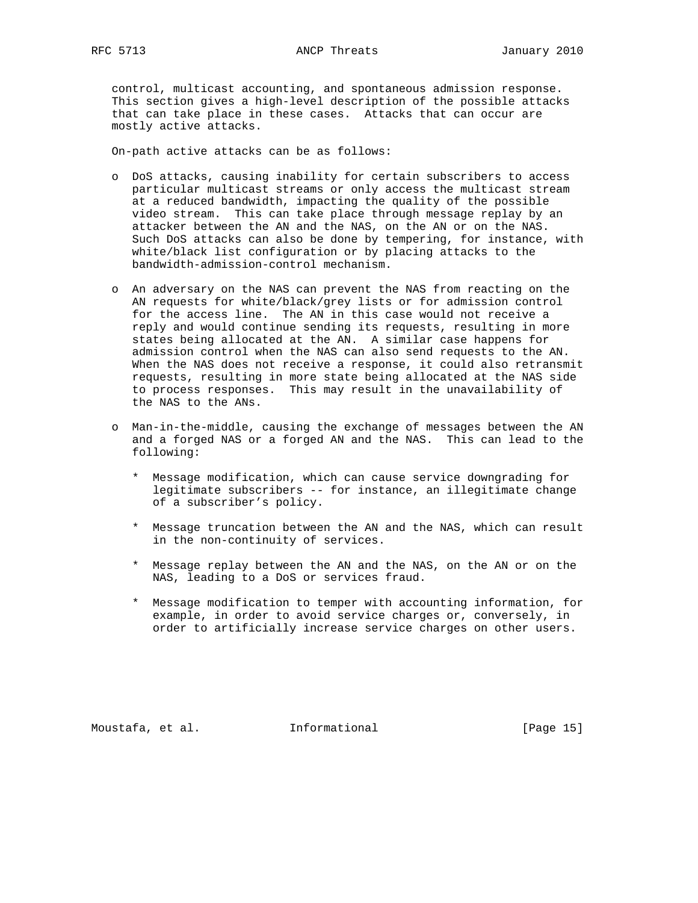control, multicast accounting, and spontaneous admission response. This section gives a high-level description of the possible attacks that can take place in these cases. Attacks that can occur are mostly active attacks.

On-path active attacks can be as follows:

- o DoS attacks, causing inability for certain subscribers to access particular multicast streams or only access the multicast stream at a reduced bandwidth, impacting the quality of the possible video stream. This can take place through message replay by an attacker between the AN and the NAS, on the AN or on the NAS. Such DoS attacks can also be done by tempering, for instance, with white/black list configuration or by placing attacks to the bandwidth-admission-control mechanism.
- o An adversary on the NAS can prevent the NAS from reacting on the AN requests for white/black/grey lists or for admission control for the access line. The AN in this case would not receive a reply and would continue sending its requests, resulting in more states being allocated at the AN. A similar case happens for admission control when the NAS can also send requests to the AN. When the NAS does not receive a response, it could also retransmit requests, resulting in more state being allocated at the NAS side to process responses. This may result in the unavailability of the NAS to the ANs.
- o Man-in-the-middle, causing the exchange of messages between the AN and a forged NAS or a forged AN and the NAS. This can lead to the following:
	- \* Message modification, which can cause service downgrading for legitimate subscribers -- for instance, an illegitimate change of a subscriber's policy.
	- \* Message truncation between the AN and the NAS, which can result in the non-continuity of services.
	- \* Message replay between the AN and the NAS, on the AN or on the NAS, leading to a DoS or services fraud.
	- \* Message modification to temper with accounting information, for example, in order to avoid service charges or, conversely, in order to artificially increase service charges on other users.

Moustafa, et al. 1nformational 1999 [Page 15]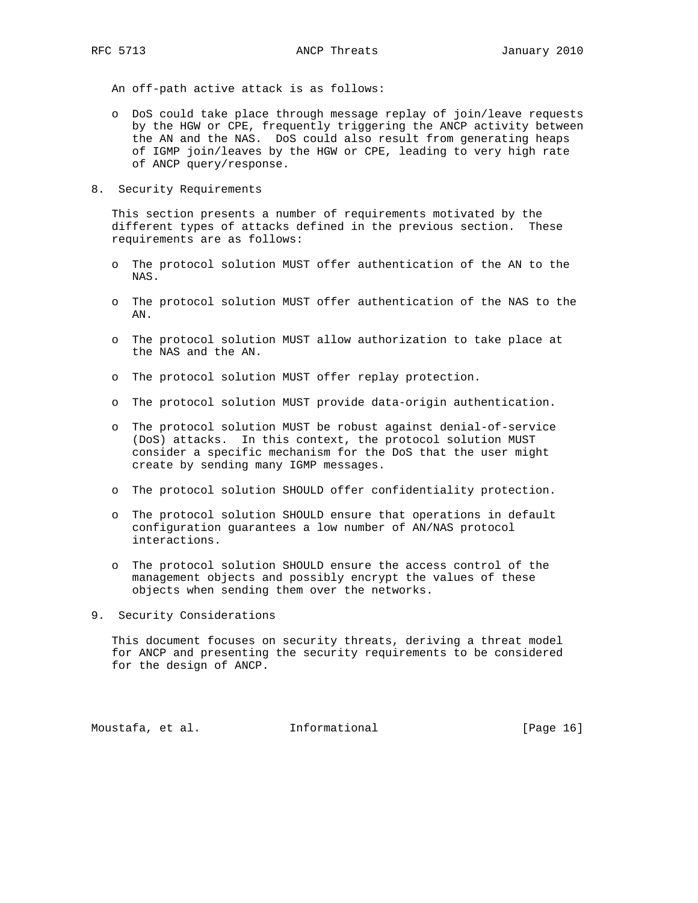An off-path active attack is as follows:

- o DoS could take place through message replay of join/leave requests by the HGW or CPE, frequently triggering the ANCP activity between the AN and the NAS. DoS could also result from generating heaps of IGMP join/leaves by the HGW or CPE, leading to very high rate of ANCP query/response.
- 8. Security Requirements

 This section presents a number of requirements motivated by the different types of attacks defined in the previous section. These requirements are as follows:

- o The protocol solution MUST offer authentication of the AN to the NAS.
- o The protocol solution MUST offer authentication of the NAS to the AN.
- o The protocol solution MUST allow authorization to take place at the NAS and the AN.
- o The protocol solution MUST offer replay protection.
- o The protocol solution MUST provide data-origin authentication.
- o The protocol solution MUST be robust against denial-of-service (DoS) attacks. In this context, the protocol solution MUST consider a specific mechanism for the DoS that the user might create by sending many IGMP messages.
- o The protocol solution SHOULD offer confidentiality protection.
- o The protocol solution SHOULD ensure that operations in default configuration guarantees a low number of AN/NAS protocol interactions.
- o The protocol solution SHOULD ensure the access control of the management objects and possibly encrypt the values of these objects when sending them over the networks.
- 9. Security Considerations

 This document focuses on security threats, deriving a threat model for ANCP and presenting the security requirements to be considered for the design of ANCP.

Moustafa, et al. **Informational** [Page 16]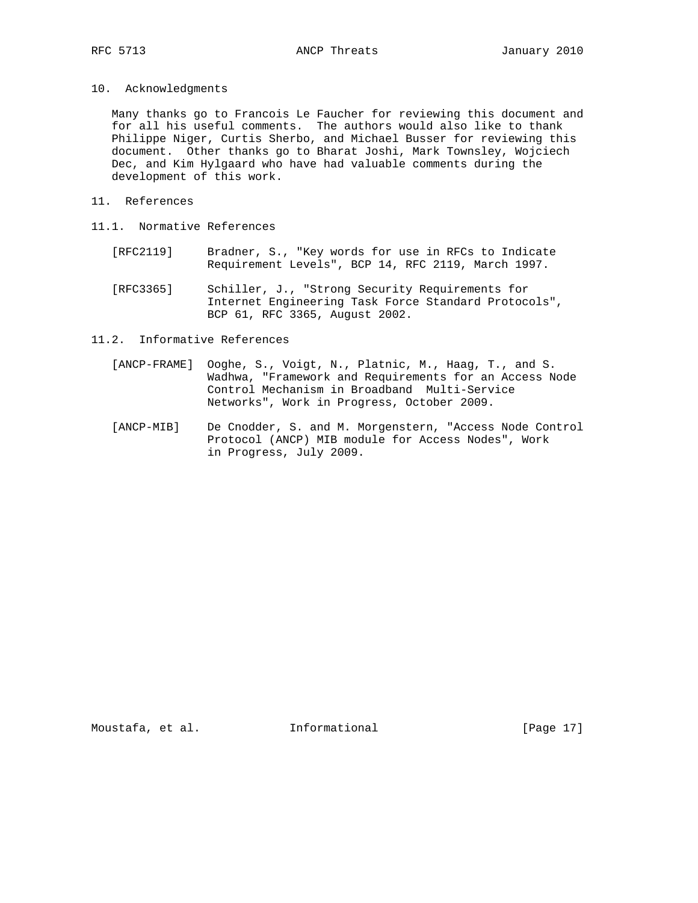10. Acknowledgments

 Many thanks go to Francois Le Faucher for reviewing this document and for all his useful comments. The authors would also like to thank Philippe Niger, Curtis Sherbo, and Michael Busser for reviewing this document. Other thanks go to Bharat Joshi, Mark Townsley, Wojciech Dec, and Kim Hylgaard who have had valuable comments during the development of this work.

- 11. References
- 11.1. Normative References
	- [RFC2119] Bradner, S., "Key words for use in RFCs to Indicate Requirement Levels", BCP 14, RFC 2119, March 1997.
	- [RFC3365] Schiller, J., "Strong Security Requirements for Internet Engineering Task Force Standard Protocols", BCP 61, RFC 3365, August 2002.
- 11.2. Informative References
	- [ANCP-FRAME] Ooghe, S., Voigt, N., Platnic, M., Haag, T., and S. Wadhwa, "Framework and Requirements for an Access Node Control Mechanism in Broadband Multi-Service Networks", Work in Progress, October 2009.
	- [ANCP-MIB] De Cnodder, S. and M. Morgenstern, "Access Node Control Protocol (ANCP) MIB module for Access Nodes", Work in Progress, July 2009.